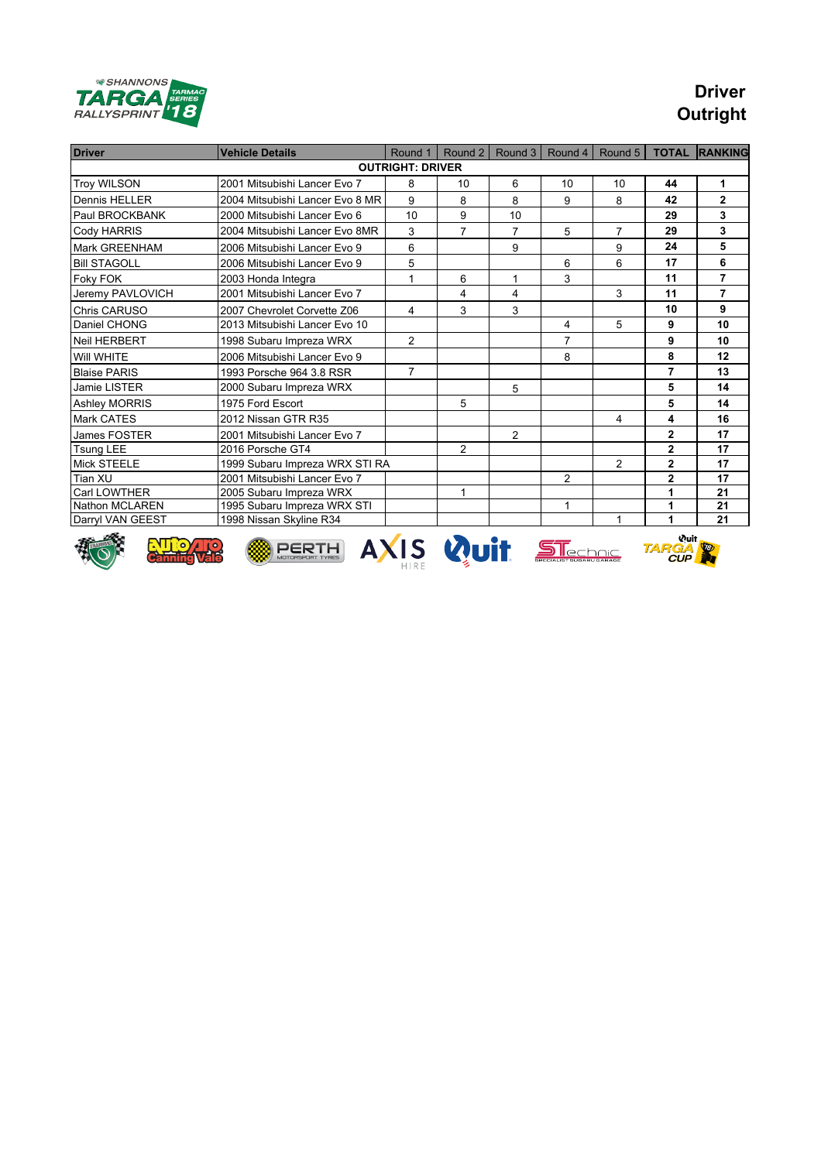

## **Driver Outright**

| <b>Driver</b>                                                                          | <b>Vehicle Details</b>          | Round 1        | Round 2                 | Round 3        | Round 4        | Round 5        | <b>TOTAL</b>   | <b>RANKING</b> |  |  |  |
|----------------------------------------------------------------------------------------|---------------------------------|----------------|-------------------------|----------------|----------------|----------------|----------------|----------------|--|--|--|
| <b>OUTRIGHT: DRIVER</b>                                                                |                                 |                |                         |                |                |                |                |                |  |  |  |
| <b>Troy WILSON</b>                                                                     | 2001 Mitsubishi Lancer Evo 7    | 8              | 10                      | 6              | 10             | 10             | 44             | 1.             |  |  |  |
| Dennis HELLER                                                                          | 2004 Mitsubishi Lancer Evo 8 MR | 9              | 8                       | 8              | 9              | 8              | 42             | $\mathbf{2}$   |  |  |  |
| Paul BROCKBANK                                                                         | 2000 Mitsubishi Lancer Evo 6    | 10             | 9                       | 10             |                |                | 29             | $\mathbf{3}$   |  |  |  |
| Cody HARRIS                                                                            | 2004 Mitsubishi Lancer Evo 8MR  | 3              | $\overline{7}$          | $\overline{7}$ | 5              | $\overline{7}$ | 29             | 3              |  |  |  |
| Mark GREENHAM                                                                          | 2006 Mitsubishi Lancer Evo 9    | 6              |                         | 9              |                | 9              | 24             | 5              |  |  |  |
| <b>Bill STAGOLL</b>                                                                    | 2006 Mitsubishi Lancer Evo 9    | 5              |                         |                | 6              | 6              | 17             | 6              |  |  |  |
| Foky FOK                                                                               | 2003 Honda Integra              | 1              | 6                       | 1              | 3              |                | 11             | $\overline{7}$ |  |  |  |
| Jeremy PAVLOVICH                                                                       | 2001 Mitsubishi Lancer Evo 7    |                | $\overline{\mathbf{4}}$ | 4              |                | 3              | 11             | $\overline{7}$ |  |  |  |
| <b>Chris CARUSO</b>                                                                    | 2007 Chevrolet Corvette Z06     | 4              | 3                       | 3              |                |                | 10             | 9              |  |  |  |
| Daniel CHONG                                                                           | 2013 Mitsubishi Lancer Evo 10   |                |                         |                | 4              | 5              | 9              | 10             |  |  |  |
| <b>Neil HERBERT</b>                                                                    | 1998 Subaru Impreza WRX         | $\overline{2}$ |                         |                | $\overline{7}$ |                | 9              | 10             |  |  |  |
| Will WHITE                                                                             | 2006 Mitsubishi Lancer Evo 9    |                |                         |                | 8              |                | 8              | 12             |  |  |  |
| <b>Blaise PARIS</b>                                                                    | 1993 Porsche 964 3.8 RSR        | $\overline{7}$ |                         |                |                |                | $\overline{7}$ | 13             |  |  |  |
| Jamie LISTER                                                                           | 2000 Subaru Impreza WRX         |                |                         | 5              |                |                | 5              | 14             |  |  |  |
| <b>Ashley MORRIS</b>                                                                   | 1975 Ford Escort                |                | 5                       |                |                |                | 5              | 14             |  |  |  |
| Mark CATES                                                                             | 2012 Nissan GTR R35             |                |                         |                |                | 4              | 4              | 16             |  |  |  |
| James FOSTER                                                                           | 2001 Mitsubishi Lancer Evo 7    |                |                         | $\overline{2}$ |                |                | $\overline{2}$ | 17             |  |  |  |
| <b>Tsung LEE</b>                                                                       | 2016 Porsche GT4                |                | $\mathcal{P}$           |                |                |                | $\overline{2}$ | 17             |  |  |  |
| Mick STEELE                                                                            | 1999 Subaru Impreza WRX STI RA  |                |                         |                |                | 2              | $\mathbf{2}$   | 17             |  |  |  |
| Tian XU                                                                                | 2001 Mitsubishi Lancer Evo 7    |                |                         |                | 2              |                | $\overline{2}$ | 17             |  |  |  |
| Carl LOWTHER                                                                           | 2005 Subaru Impreza WRX         |                | 1                       |                |                |                | 1              | 21             |  |  |  |
| <b>Nathon MCLAREN</b>                                                                  | 1995 Subaru Impreza WRX STI     |                |                         |                | $\mathbf{1}$   |                | 1              | 21             |  |  |  |
| Darryl VAN GEEST                                                                       | 1998 Nissan Skyline R34         |                |                         |                |                | 1              | 1              | 21             |  |  |  |
| <b>Wuit</b><br><b>AXIS Quit STEEDOIE</b><br><b>PERTH</b><br><b>TARGA</b><br><b>CUP</b> |                                 |                |                         |                |                |                |                |                |  |  |  |











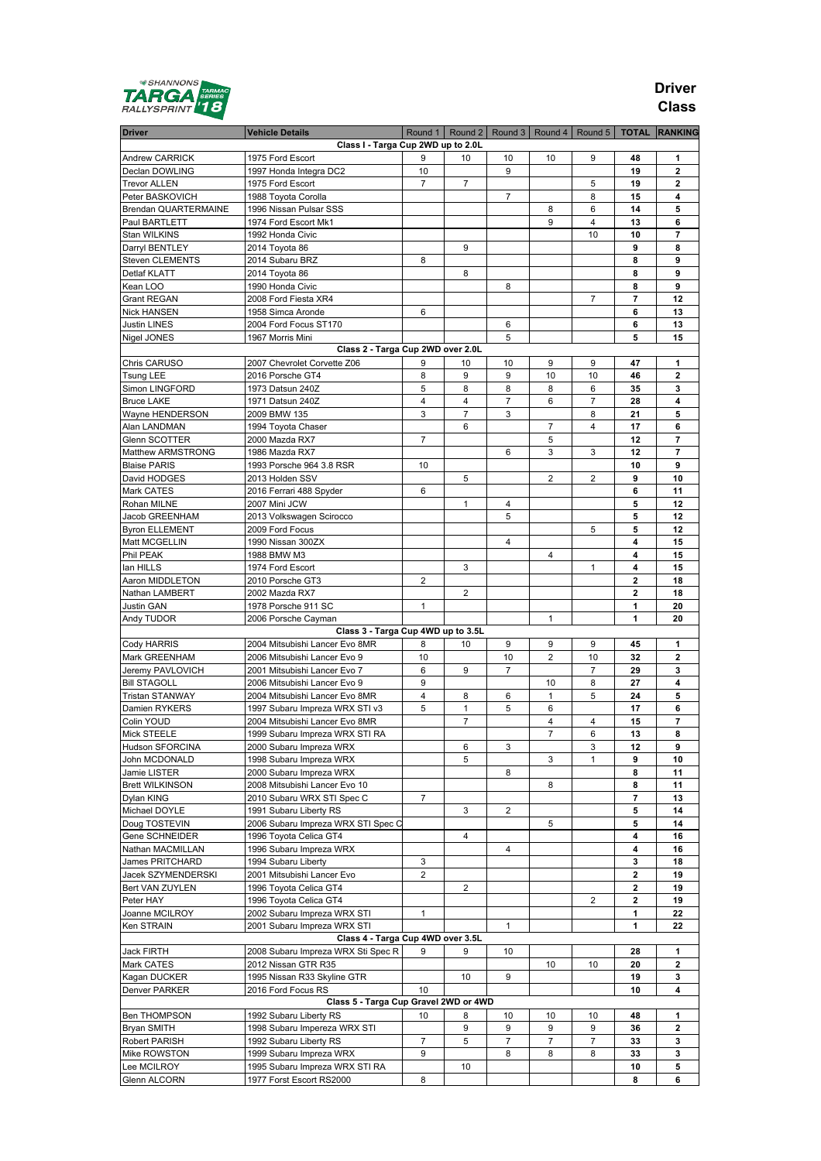

### **Driver Class**

| <b>Driver</b>                  | <b>Vehicle Details</b>                                       |                |                |                |                |                |                         | Round 1   Round 2   Round 3   Round 4   Round 5   TOTAL   RANKING |
|--------------------------------|--------------------------------------------------------------|----------------|----------------|----------------|----------------|----------------|-------------------------|-------------------------------------------------------------------|
|                                | Class I - Targa Cup 2WD up to 2.0L                           |                |                |                |                |                |                         |                                                                   |
| Andrew CARRICK                 | 1975 Ford Escort                                             | 9              | 10             | 10             | 10             | 9              | 48                      | 1                                                                 |
| Declan DOWLING                 | 1997 Honda Integra DC2                                       | 10             |                | 9              |                |                | 19                      | $\overline{2}$                                                    |
| <b>Trevor ALLEN</b>            | 1975 Ford Escort                                             | 7              | 7              |                |                | 5              | 19                      | $\mathbf{2}$                                                      |
| Peter BASKOVICH                | 1988 Toyota Corolla                                          |                |                | 7              |                | 8              | 15                      | 4                                                                 |
| Brendan QUARTERMAINE           | 1996 Nissan Pulsar SSS                                       |                |                |                | 8              | 6              | 14                      | 5                                                                 |
| Paul BARTLETT                  | 1974 Ford Escort Mk1                                         |                |                |                | 9              | $\overline{4}$ | 13                      | 6                                                                 |
| Stan WILKINS                   | 1992 Honda Civic                                             |                |                |                |                | 10             | 10                      | 7                                                                 |
| Darryl BENTLEY                 | 2014 Toyota 86                                               |                | 9              |                |                |                | 9                       | 8                                                                 |
| Steven CLEMENTS                | 2014 Subaru BRZ                                              | 8              |                |                |                |                | 8                       | 9                                                                 |
| Detlaf KLATT                   | 2014 Toyota 86                                               |                | 8              |                |                |                | 8                       | 9                                                                 |
| Kean LOO                       | 1990 Honda Civic                                             |                |                | 8              |                |                | 8                       | 9                                                                 |
| <b>Grant REGAN</b>             | 2008 Ford Fiesta XR4                                         |                |                |                |                | 7              | 7                       | 12                                                                |
| <b>Nick HANSEN</b>             | 1958 Simca Aronde<br>2004 Ford Focus ST170                   | 6              |                | 6              |                |                | 6<br>6                  | 13<br>13                                                          |
| Justin LINES<br>Nigel JONES    | 1967 Morris Mini                                             |                |                | 5              |                |                | 5                       | 15                                                                |
|                                | Class 2 - Targa Cup 2WD over 2.0L                            |                |                |                |                |                |                         |                                                                   |
| Chris CARUSO                   | 2007 Chevrolet Corvette Z06                                  | 9              | 10             | 10             | 9              | 9              | 47                      | 1                                                                 |
| <b>Tsung LEE</b>               | 2016 Porsche GT4                                             | 8              | 9              | 9              | 10             | 10             | 46                      | 2                                                                 |
| Simon LINGFORD                 | 1973 Datsun 240Z                                             | 5              | 8              | 8              | 8              | 6              | 35                      | 3                                                                 |
| <b>Bruce LAKE</b>              | 1971 Datsun 240Z                                             | $\overline{4}$ | $\overline{4}$ | 7              | 6              | 7              | 28                      | 4                                                                 |
| Wayne HENDERSON                | 2009 BMW 135                                                 | 3              | 7              | 3              |                | 8              | 21                      | 5                                                                 |
| Alan LANDMAN                   | 1994 Toyota Chaser                                           |                | 6              |                | 7              | 4              | 17                      | 6                                                                 |
| Glenn SCOTTER                  | 2000 Mazda RX7                                               | 7              |                |                | 5              |                | 12                      | 7                                                                 |
| Matthew ARMSTRONG              | 1986 Mazda RX7                                               |                |                | 6              | 3              | 3              | 12                      | 7                                                                 |
| <b>Blaise PARIS</b>            | 1993 Porsche 964 3.8 RSR                                     | 10             |                |                |                |                | 10                      | 9                                                                 |
| David HODGES                   | 2013 Holden SSV                                              |                | 5              |                | 2              | 2              | 9                       | 10                                                                |
| Mark CATES                     | 2016 Ferrari 488 Spyder                                      | 6              |                |                |                |                | 6                       | 11                                                                |
| Rohan MILNE                    | 2007 Mini JCW                                                |                | 1              | 4              |                |                | 5                       | 12                                                                |
| Jacob GREENHAM                 | 2013 Volkswagen Scirocco                                     |                |                | 5              |                |                | 5                       | 12                                                                |
| <b>Byron ELLEMENT</b>          | 2009 Ford Focus                                              |                |                |                |                | 5              | 5                       | 12                                                                |
| Matt MCGELLIN                  | 1990 Nissan 300ZX                                            |                |                | 4              |                |                | 4                       | 15                                                                |
| Phil PEAK                      | 1988 BMW M3                                                  |                |                |                | 4              |                | 4                       | 15                                                                |
| lan HILLS                      | 1974 Ford Escort                                             |                | 3              |                |                | 1              | 4                       | 15                                                                |
| Aaron MIDDLETON                | 2010 Porsche GT3                                             | 2              |                |                |                |                | 2                       | 18                                                                |
| Nathan LAMBERT                 | 2002 Mazda RX7                                               |                | $\overline{2}$ |                |                |                | $\mathbf 2$             | 18                                                                |
| Justin GAN                     | 1978 Porsche 911 SC                                          | 1              |                |                |                |                | 1                       | 20                                                                |
| Andy TUDOR                     | 2006 Porsche Cayman                                          |                |                |                | $\mathbf{1}$   |                | 1                       | 20                                                                |
|                                | Class 3 - Targa Cup 4WD up to 3.5L                           |                |                |                |                |                |                         |                                                                   |
| <b>Cody HARRIS</b>             | 2004 Mitsubishi Lancer Evo 8MR                               | 8              | 10             | 9              | 9              | 9              | 45                      | 1                                                                 |
| Mark GREENHAM                  | 2006 Mitsubishi Lancer Evo 9                                 | 10             |                | 10             | 2              | 10             | 32                      | $\mathbf 2$                                                       |
| Jeremy PAVLOVICH               | 2001 Mitsubishi Lancer Evo 7                                 | 6              | 9              | $\overline{7}$ |                | $\overline{7}$ | 29                      | 3                                                                 |
| <b>Bill STAGOLL</b>            | 2006 Mitsubishi Lancer Evo 9                                 | 9              |                |                | 10             | 8              | 27                      | 4                                                                 |
| <b>Tristan STANWAY</b>         | 2004 Mitsubishi Lancer Evo 8MR                               | $\overline{4}$ | 8              | 6              | $\mathbf{1}$   | 5              | 24                      | 5                                                                 |
| Damien RYKERS                  | 1997 Subaru Impreza WRX STI v3                               | 5              | 1              | 5              | 6              |                | 17                      | 6                                                                 |
| Colin YOUD                     | 2004 Mitsubishi Lancer Evo 8MR                               |                | 7              |                | 4              | 4              | 15                      | 7                                                                 |
| <b>Mick STEELE</b>             | 1999 Subaru Impreza WRX STI RA                               |                |                |                | 7              | 6              | 13                      | 8                                                                 |
| Hudson SFORCINA                | 2000 Subaru Impreza WRX                                      |                | 6              | 3              |                | 3              | 12                      | 9                                                                 |
| John MCDONALD                  | 1998 Subaru Impreza WRX                                      |                | 5              |                | 3              | $\mathbf{1}$   | 9                       | 10                                                                |
| Jamie LISTER                   | 2000 Subaru Impreza WRX                                      |                |                | 8              |                |                | 8                       | 11                                                                |
| <b>Brett WILKINSON</b>         | 2008 Mitsubishi Lancer Evo 10                                |                |                |                | 8              |                | 8                       | 11                                                                |
| Dylan KING                     | 2010 Subaru WRX STI Spec C                                   | $\overline{7}$ |                |                |                |                | 7                       | 13                                                                |
| Michael DOYLE<br>Doug TOSTEVIN | 1991 Subaru Liberty RS                                       |                | 3              | 2              |                |                | 5                       | 14                                                                |
| Gene SCHNEIDER                 | 2006 Subaru Impreza WRX STI Spec C<br>1996 Toyota Celica GT4 |                | 4              |                | 5              |                | 5<br>4                  | 14<br>16                                                          |
| Nathan MACMILLAN               | 1996 Subaru Impreza WRX                                      |                |                | 4              |                |                | 4                       | 16                                                                |
| James PRITCHARD                | 1994 Subaru Liberty                                          | 3              |                |                |                |                | 3                       | 18                                                                |
| Jacek SZYMENDERSKI             | 2001 Mitsubishi Lancer Evo                                   | $\overline{2}$ |                |                |                |                | 2                       | 19                                                                |
| Bert VAN ZUYLEN                | 1996 Toyota Celica GT4                                       |                | 2              |                |                |                | 2                       | 19                                                                |
| Peter HAY                      | 1996 Toyota Celica GT4                                       |                |                |                |                | $\overline{2}$ | $\overline{\mathbf{2}}$ | 19                                                                |
| Joanne MCILROY                 | 2002 Subaru Impreza WRX STI                                  | $\mathbf{1}$   |                |                |                |                | 1                       | 22                                                                |
| Ken STRAIN                     | 2001 Subaru Impreza WRX STI                                  |                |                | $\mathbf{1}$   |                |                | 1                       | 22                                                                |
|                                | Class 4 - Targa Cup 4WD over 3.5L                            |                |                |                |                |                |                         |                                                                   |
| Jack FIRTH                     | 2008 Subaru Impreza WRX Sti Spec R                           | 9              | 9              | 10             |                |                | 28                      | 1                                                                 |
| Mark CATES                     | 2012 Nissan GTR R35                                          |                |                |                | 10             | 10             | 20                      | 2                                                                 |
| Kagan DUCKER                   | 1995 Nissan R33 Skyline GTR                                  |                | 10             | 9              |                |                | 19                      | 3                                                                 |
| Denver PARKER                  | 2016 Ford Focus RS                                           | 10             |                |                |                |                | 10                      | 4                                                                 |
|                                | Class 5 - Targa Cup Gravel 2WD or 4WD                        |                |                |                |                |                |                         |                                                                   |
| <b>Ben THOMPSON</b>            | 1992 Subaru Liberty RS                                       | 10             | 8              | 10             | 10             | 10             | 48                      | 1                                                                 |
| Bryan SMITH                    | 1998 Subaru Impereza WRX STI                                 |                | 9              | 9              | 9              | 9              | 36                      | 2                                                                 |
| Robert PARISH                  | 1992 Subaru Liberty RS                                       | $\overline{7}$ | 5              | $\overline{7}$ | $\overline{7}$ | $\overline{7}$ | 33                      | 3                                                                 |
| Mike ROWSTON                   | 1999 Subaru Impreza WRX                                      | 9              |                | 8              | 8              | 8              | 33                      | 3                                                                 |
| Lee MCILROY                    | 1995 Subaru Impreza WRX STI RA                               |                | 10             |                |                |                | 10                      | 5                                                                 |
| Glenn ALCORN                   | 1977 Forst Escort RS2000                                     | 8              |                |                |                |                | 8                       | 6                                                                 |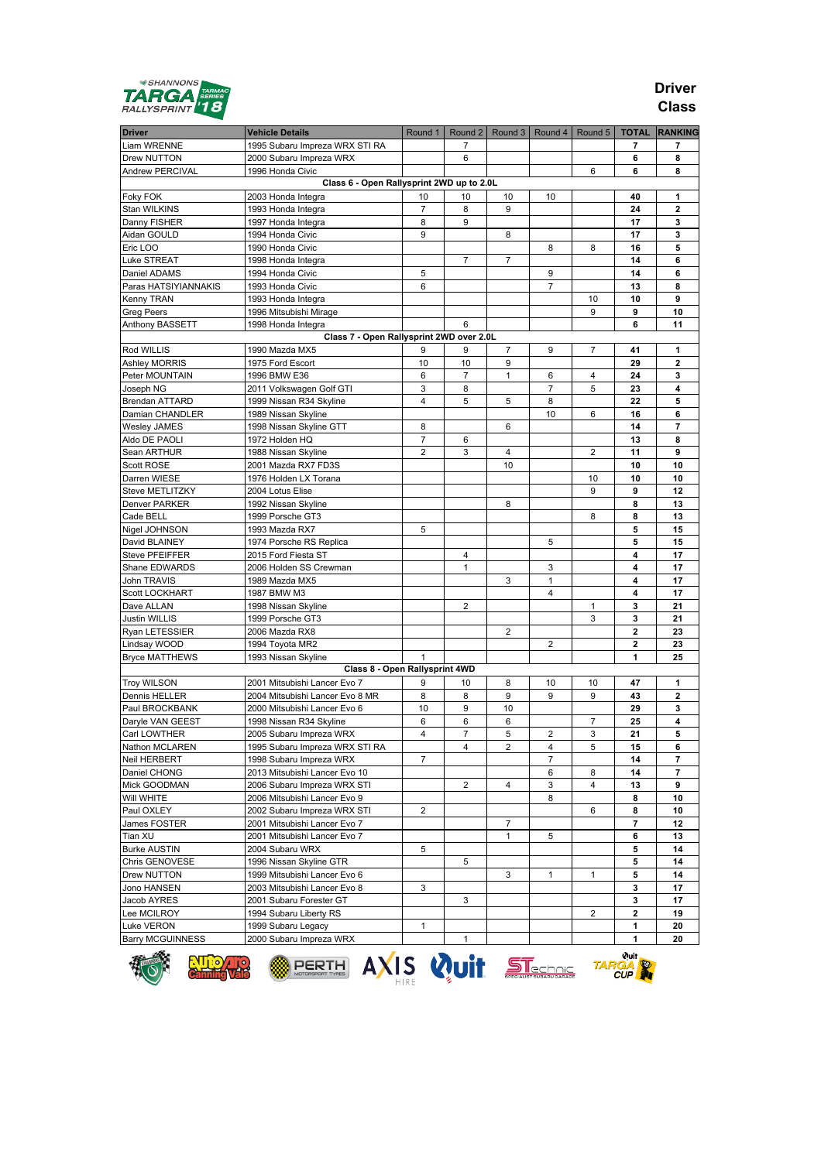

### **Driver Class**

| <b>Driver</b>                        | <b>Vehicle Details</b>                                       | Round 1            |                | Round 2   Round 3   Round 4 |                | Round 5 |                                     | <b>TOTAL RANKING</b> |
|--------------------------------------|--------------------------------------------------------------|--------------------|----------------|-----------------------------|----------------|---------|-------------------------------------|----------------------|
| Liam WRENNE                          | 1995 Subaru Impreza WRX STI RA                               |                    | 7              |                             |                |         | 7                                   | 7                    |
| Drew NUTTON                          | 2000 Subaru Impreza WRX                                      |                    | 6              |                             |                |         | 6                                   | 8                    |
| Andrew PERCIVAL                      | 1996 Honda Civic                                             |                    |                |                             |                | 6       | 6                                   | 8                    |
|                                      | Class 6 - Open Rallysprint 2WD up to 2.0L                    |                    |                |                             |                |         |                                     |                      |
| Foky FOK                             | 2003 Honda Integra                                           | 10                 | 10             | 10                          | 10             |         | 40                                  | 1                    |
| Stan WILKINS                         | 1993 Honda Integra                                           | $\overline{7}$     | 8              | 9                           |                |         | 24                                  | $\mathbf 2$          |
| Danny FISHER                         | 1997 Honda Integra                                           | 8                  | 9              |                             |                |         | 17                                  | 3                    |
| Aidan GOULD                          | 1994 Honda Civic                                             | 9                  |                | 8                           |                |         | 17                                  | 3                    |
| Eric LOO                             | 1990 Honda Civic                                             |                    |                |                             | 8              | 8       | 16                                  | 5                    |
| Luke STREAT                          | 1998 Honda Integra                                           |                    | 7              | 7                           |                |         | 14                                  | 6                    |
| Daniel ADAMS                         | 1994 Honda Civic                                             | 5                  |                |                             | 9              |         | 14                                  | 6                    |
| Paras HATSIYIANNAKIS                 | 1993 Honda Civic                                             | 6                  |                |                             | $\overline{7}$ |         | 13                                  | 8                    |
| Kenny TRAN                           | 1993 Honda Integra                                           |                    |                |                             |                | 10<br>9 | 10<br>9                             | 9<br>10              |
| <b>Greg Peers</b><br>Anthony BASSETT | 1996 Mitsubishi Mirage<br>1998 Honda Integra                 |                    | 6              |                             |                |         | 6                                   | 11                   |
|                                      | Class 7 - Open Rallysprint 2WD over 2.0L                     |                    |                |                             |                |         |                                     |                      |
| Rod WILLIS                           | 1990 Mazda MX5                                               | 9                  | 9              | $\overline{7}$              | 9              | 7       | 41                                  | 1                    |
| <b>Ashley MORRIS</b>                 | 1975 Ford Escort                                             | 10                 | 10             | 9                           |                |         | 29                                  | 2                    |
| Peter MOUNTAIN                       | 1996 BMW E36                                                 | 6                  | $\overline{7}$ | $\mathbf{1}$                | 6              | 4       | 24                                  | 3                    |
| Joseph NG                            | 2011 Volkswagen Golf GTI                                     | 3                  | 8              |                             | 7              | 5       | 23                                  | 4                    |
| Brendan ATTARD                       | 1999 Nissan R34 Skyline                                      | $\overline{4}$     | 5              | 5                           | 8              |         | 22                                  | 5                    |
| Damian CHANDLER                      | 1989 Nissan Skyline                                          |                    |                |                             | 10             | 6       | 16                                  | 6                    |
| <b>Wesley JAMES</b>                  | 1998 Nissan Skyline GTT                                      | 8                  |                | 6                           |                |         | 14                                  | 7                    |
| Aldo DE PAOLI                        | 1972 Holden HQ                                               | $\overline{7}$     | 6              |                             |                |         | 13                                  | 8                    |
| Sean ARTHUR                          | 1988 Nissan Skyline                                          | $\overline{2}$     | 3              | 4                           |                | 2       | 11                                  | 9                    |
| Scott ROSE                           | 2001 Mazda RX7 FD3S                                          |                    |                | 10                          |                |         | 10                                  | 10                   |
| Darren WIESE                         | 1976 Holden LX Torana                                        |                    |                |                             |                | 10      | 10                                  | 10                   |
| Steve METLITZKY                      | 2004 Lotus Elise                                             |                    |                |                             |                | 9       | 9                                   | 12                   |
| <b>Denver PARKER</b>                 | 1992 Nissan Skyline                                          |                    |                | 8                           |                |         | 8                                   | 13                   |
| Cade BELL                            | 1999 Porsche GT3                                             |                    |                |                             |                | 8       | 8                                   | 13                   |
| Nigel JOHNSON                        | 1993 Mazda RX7                                               | 5                  |                |                             |                |         | 5                                   | 15                   |
| David BLAINEY                        | 1974 Porsche RS Replica                                      |                    |                |                             | 5              |         | 5                                   | 15                   |
| Steve PFEIFFER                       | 2015 Ford Fiesta ST                                          |                    | 4              |                             |                |         | 4                                   | 17                   |
| Shane EDWARDS                        | 2006 Holden SS Crewman                                       |                    | $\mathbf{1}$   |                             | 3              |         | 4                                   | 17                   |
| John TRAVIS                          | 1989 Mazda MX5                                               |                    |                | 3                           | $\mathbf{1}$   |         | 4                                   | 17                   |
| Scott LOCKHART                       | 1987 BMW M3                                                  |                    |                |                             | $\overline{4}$ |         | 4                                   | 17                   |
| Dave ALLAN                           | 1998 Nissan Skyline                                          |                    | $\overline{2}$ |                             |                | 1       | 3                                   | 21                   |
| <b>Justin WILLIS</b>                 | 1999 Porsche GT3<br>2006 Mazda RX8                           |                    |                | 2                           |                | 3       | 3<br>$\mathbf 2$                    | 21<br>23             |
| Ryan LETESSIER<br>Lindsay WOOD       | 1994 Toyota MR2                                              |                    |                |                             | $\overline{2}$ |         | $\overline{2}$                      | 23                   |
| <b>Bryce MATTHEWS</b>                | 1993 Nissan Skyline                                          |                    |                |                             |                |         | 1                                   | 25                   |
|                                      | Class 8 - Open Rallysprint 4WD                               |                    |                |                             |                |         |                                     |                      |
| <b>Troy WILSON</b>                   | 2001 Mitsubishi Lancer Evo 7                                 | 9                  | 10             | 8                           | 10             | 10      | 47                                  | 1                    |
| Dennis HELLER                        | 2004 Mitsubishi Lancer Evo 8 MR                              | 8                  | 8              | 9                           | 9              | 9       | 43                                  | 2                    |
| Paul BROCKBANK                       | 2000 Mitsubishi Lancer Evo 6                                 | 10                 | 9              | 10                          |                |         | 29                                  | 3                    |
| Daryle VAN GEEST                     | 1998 Nissan R34 Skyline                                      | 6                  | 6              | 6                           |                | 7       | 25                                  | 4                    |
| Carl LOWTHER                         | 2005 Subaru Impreza WRX                                      | $\overline{4}$     | 7              | 5                           | 2              | 3       | 21                                  | 5                    |
| Nathon MCLAREN                       | 1995 Subaru Impreza WRX STI RA                               |                    | 4              | 2                           | 4              | 5       | 15                                  | 6                    |
| Neil HERBERT                         | 1998 Subaru Impreza WRX                                      | 7                  |                |                             | 7              |         | 14                                  | 7                    |
| Daniel CHONG                         | 2013 Mitsubishi Lancer Evo 10                                |                    |                |                             | 6              | 8       | 14                                  | 7                    |
| Mick GOODMAN                         | 2006 Subaru Impreza WRX STI                                  |                    | $\overline{2}$ | 4                           | 3              | 4       | 13                                  | 9                    |
| Will WHITE                           | 2006 Mitsubishi Lancer Evo 9                                 |                    |                |                             | 8              |         | 8                                   | 10                   |
| Paul OXLEY                           | 2002 Subaru Impreza WRX STI                                  | 2                  |                |                             |                | 6       | 8                                   | 10                   |
| James FOSTER                         | 2001 Mitsubishi Lancer Evo 7                                 |                    |                | 7                           |                |         | 7                                   | 12                   |
| Tian XU                              | 2001 Mitsubishi Lancer Evo 7                                 |                    |                | 1                           | 5              |         | 6                                   | 13                   |
| <b>Burke AUSTIN</b>                  | 2004 Subaru WRX                                              | 5                  |                |                             |                |         | 5                                   | 14                   |
| Chris GENOVESE                       | 1996 Nissan Skyline GTR                                      |                    | 5              |                             |                |         | 5                                   | 14                   |
| Drew NUTTON<br>Jono HANSEN           | 1999 Mitsubishi Lancer Evo 6<br>2003 Mitsubishi Lancer Evo 8 | 3                  |                | 3                           | 1              | 1       | 5<br>3                              | 14<br>17             |
| Jacob AYRES                          | 2001 Subaru Forester GT                                      |                    | 3              |                             |                |         | 3                                   | 17                   |
| Lee MCILROY                          | 1994 Subaru Liberty RS                                       |                    |                |                             |                | 2       | $\mathbf 2$                         | 19                   |
| Luke VERON                           | 1999 Subaru Legacy                                           | 1                  |                |                             |                |         | 1                                   | 20                   |
| <b>Barry MCGUINNESS</b>              | 2000 Subaru Impreza WRX                                      |                    | 1              |                             |                |         | 1                                   | 20                   |
|                                      |                                                              |                    |                |                             |                |         |                                     |                      |
|                                      | PERTH                                                        | AXIS Wuit STECHAIG |                |                             |                |         | Quit,<br><b>TARGA</b><br><b>CUP</b> |                      |









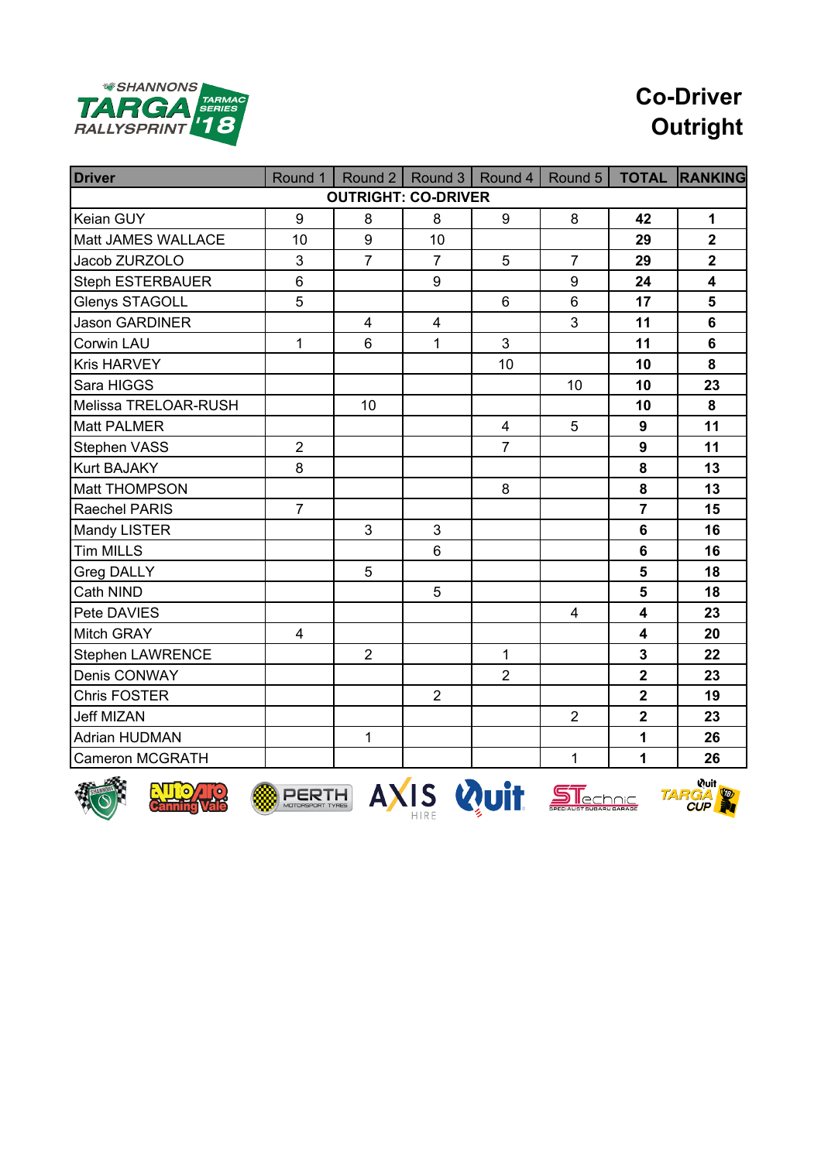

# **Co-Driver Outright**

| <b>Driver</b>           | Round 1        | Round 2                    |                         | Round 3   Round 4   Round 5 |                |                         | <b>TOTAL RANKING</b>    |
|-------------------------|----------------|----------------------------|-------------------------|-----------------------------|----------------|-------------------------|-------------------------|
|                         |                | <b>OUTRIGHT: CO-DRIVER</b> |                         |                             |                |                         |                         |
| Keian GUY               | 9              | 8                          | 8                       | 9                           | 8              | 42                      | $\mathbf 1$             |
| Matt JAMES WALLACE      | 10             | 9                          | 10                      |                             |                | 29                      | $\overline{2}$          |
| Jacob ZURZOLO           | 3              | $\overline{7}$             | $\overline{7}$          | 5                           | $\overline{7}$ | 29                      | $\overline{\mathbf{2}}$ |
| <b>Steph ESTERBAUER</b> | $6\phantom{1}$ |                            | 9                       |                             | 9              | 24                      | $\overline{\mathbf{4}}$ |
| Glenys STAGOLL          | 5              |                            |                         | 6                           | $6\phantom{1}$ | 17                      | 5                       |
| <b>Jason GARDINER</b>   |                | $\overline{\mathbf{4}}$    | $\overline{\mathbf{4}}$ |                             | 3              | 11                      | $6\phantom{1}$          |
| Corwin LAU              | $\mathbf{1}$   | 6                          | $\mathbf{1}$            | 3                           |                | 11                      | $6\phantom{1}$          |
| <b>Kris HARVEY</b>      |                |                            |                         | 10                          |                | 10                      | 8                       |
| Sara HIGGS              |                |                            |                         |                             | 10             | 10                      | 23                      |
| Melissa TRELOAR-RUSH    |                | 10                         |                         |                             |                | 10                      | 8                       |
| Matt PALMER             |                |                            |                         | $\overline{\mathbf{4}}$     | 5              | 9                       | 11                      |
| Stephen VASS            | $\overline{2}$ |                            |                         | $\overline{7}$              |                | 9                       | 11                      |
| Kurt BAJAKY             | 8              |                            |                         |                             |                | 8                       | 13                      |
| Matt THOMPSON           |                |                            |                         | 8                           |                | 8                       | 13                      |
| Raechel PARIS           | $\overline{7}$ |                            |                         |                             |                | $\overline{7}$          | 15                      |
| Mandy LISTER            |                | 3                          | 3                       |                             |                | $6\phantom{1}$          | 16                      |
| Tim MILLS               |                |                            | 6                       |                             |                | $6\phantom{1}$          | 16                      |
| Greg DALLY              |                | 5                          |                         |                             |                | 5                       | 18                      |
| Cath NIND               |                |                            | 5                       |                             |                | 5                       | 18                      |
| Pete DAVIES             |                |                            |                         |                             | $\overline{4}$ | $\overline{\mathbf{4}}$ | 23                      |
| <b>Mitch GRAY</b>       | 4              |                            |                         |                             |                | $\overline{\mathbf{4}}$ | 20                      |
| <b>Stephen LAWRENCE</b> |                | $\overline{2}$             |                         | 1                           |                | $\overline{\mathbf{3}}$ | 22                      |
| Denis CONWAY            |                |                            |                         | $\overline{2}$              |                | $\overline{\mathbf{2}}$ | 23                      |
| <b>Chris FOSTER</b>     |                |                            | $\overline{2}$          |                             |                | $\overline{2}$          | 19                      |
| <b>Jeff MIZAN</b>       |                |                            |                         |                             | $\overline{2}$ | $\overline{\mathbf{2}}$ | 23                      |
| <b>Adrian HUDMAN</b>    |                | $\mathbf{1}$               |                         |                             |                | 1                       | 26                      |
| <b>Cameron MCGRATH</b>  |                |                            |                         |                             | $\mathbf 1$    | $\mathbf 1$             | 26                      |











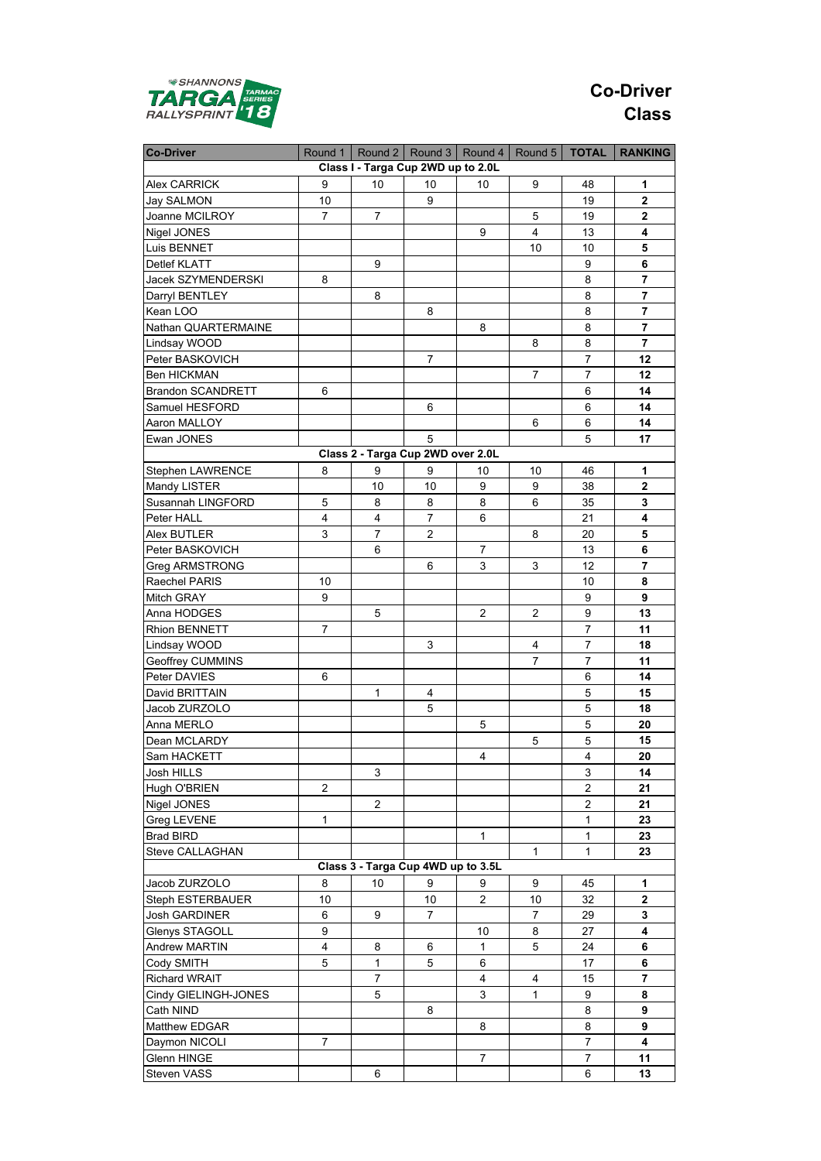

## **Co-Driver Class**

| <b>Co-Driver</b>         | Round 1        |                                    |                | Round 2   Round 3   Round 4   Round 5 |                | <b>TOTAL</b>   | <b>RANKING</b>          |
|--------------------------|----------------|------------------------------------|----------------|---------------------------------------|----------------|----------------|-------------------------|
|                          |                | Class I - Targa Cup 2WD up to 2.0L |                |                                       |                |                |                         |
| Alex CARRICK             | 9              | 10                                 | 10             | 10                                    | 9              | 48             | 1                       |
| Jay SALMON               | 10             |                                    | 9              |                                       |                | 19             | $\mathbf{2}$            |
| Joanne MCILROY           | $\overline{7}$ | $\overline{7}$                     |                |                                       | 5              | 19             | $\mathbf{2}$            |
| Nigel JONES              |                |                                    |                | 9                                     | 4              | 13             | 4                       |
| Luis BENNET              |                |                                    |                |                                       | 10             | 10             | 5                       |
| Detlef KLATT             |                | 9                                  |                |                                       |                | 9              | 6                       |
| Jacek SZYMENDERSKI       | 8              |                                    |                |                                       |                | 8              | 7                       |
| Darryl BENTLEY           |                | 8                                  |                |                                       |                | 8              | 7                       |
| Kean LOO                 |                |                                    | 8              |                                       |                | 8              | 7                       |
| Nathan QUARTERMAINE      |                |                                    |                | 8                                     |                | 8              | 7                       |
| Lindsay WOOD             |                |                                    |                |                                       | 8              | 8              | $\overline{7}$          |
| Peter BASKOVICH          |                |                                    | 7              |                                       |                | 7              | 12                      |
| Ben HICKMAN              |                |                                    |                |                                       | $\overline{7}$ | $\overline{7}$ | 12                      |
| <b>Brandon SCANDRETT</b> | 6              |                                    |                |                                       |                | 6              | 14                      |
| Samuel HESFORD           |                |                                    | 6              |                                       |                |                | 14                      |
|                          |                |                                    |                |                                       |                | 6              |                         |
| Aaron MALLOY             |                |                                    |                |                                       | 6              | 6              | 14                      |
| Ewan JONES               |                |                                    | 5              |                                       |                | 5              | 17                      |
|                          |                | Class 2 - Targa Cup 2WD over 2.0L  |                |                                       |                |                |                         |
| Stephen LAWRENCE         | 8              | 9                                  | 9              | 10                                    | 10             | 46             | 1                       |
| Mandy LISTER             |                | 10                                 | 10             | 9                                     | 9              | 38             | 2                       |
| Susannah LINGFORD        | 5              | 8                                  | 8              | 8                                     | 6              | 35             | 3                       |
| Peter HALL               | $\overline{4}$ | 4                                  | $\overline{7}$ | 6                                     |                | 21             | 4                       |
| Alex BUTLER              | 3              | 7                                  | $\overline{2}$ |                                       | 8              | 20             | 5                       |
| Peter BASKOVICH          |                | 6                                  |                | 7                                     |                | 13             | 6                       |
| Greg ARMSTRONG           |                |                                    | 6              | 3                                     | 3              | 12             | $\overline{\mathbf{r}}$ |
| Raechel PARIS            | 10             |                                    |                |                                       |                | 10             | 8                       |
| Mitch GRAY               | 9              |                                    |                |                                       |                | 9              | 9                       |
| Anna HODGES              |                | 5                                  |                | 2                                     | $\overline{c}$ | 9              | 13                      |
| Rhion BENNETT            | 7              |                                    |                |                                       |                | 7              | 11                      |
| Lindsay WOOD             |                |                                    | 3              |                                       | 4              | $\overline{7}$ | 18                      |
| Geoffrey CUMMINS         |                |                                    |                |                                       | 7              | 7              | 11                      |
| Peter DAVIES             | 6              |                                    |                |                                       |                | 6              | 14                      |
| David BRITTAIN           |                | 1                                  | 4              |                                       |                | 5              | 15                      |
| Jacob ZURZOLO            |                |                                    | 5              |                                       |                | 5              | 18                      |
| Anna MERLO               |                |                                    |                | 5                                     |                | 5              | 20                      |
| Dean MCLARDY             |                |                                    |                |                                       | 5              | 5              | 15                      |
| Sam HACKETT              |                |                                    |                | 4                                     |                | 4              | 20                      |
| Josh HILLS               |                | 3                                  |                |                                       |                | 3              | 14                      |
| Hugh O'BRIEN             | 2              |                                    |                |                                       |                | $\overline{c}$ | 21                      |
| Nigel JONES              |                | $\overline{2}$                     |                |                                       |                | $\overline{c}$ | 21                      |
| Greg LEVENE              | $\mathbf{1}$   |                                    |                |                                       |                | $\mathbf{1}$   | 23                      |
| <b>Brad BIRD</b>         |                |                                    |                | 1                                     |                | 1              | 23                      |
| Steve CALLAGHAN          |                |                                    |                |                                       | 1              | 1              | 23                      |
|                          |                | Class 3 - Targa Cup 4WD up to 3.5L |                |                                       |                |                |                         |
| Jacob ZURZOLO            | 8              | 10                                 | 9              | 9                                     | 9              | 45             | 1                       |
|                          | 10             |                                    | 10             | $\overline{\mathbf{c}}$               | 10             | 32             | 2                       |
| Steph ESTERBAUER         | 6              | 9                                  | $\overline{7}$ |                                       | $\overline{7}$ | 29             | 3                       |
| Josh GARDINER            |                |                                    |                |                                       |                |                |                         |
| Glenys STAGOLL           | 9              |                                    |                | 10                                    | 8              | 27             | 4                       |
| Andrew MARTIN            | 4              | 8                                  | 6              | 1                                     | 5              | 24             | 6                       |
| Cody SMITH               | 5              | $\mathbf{1}$                       | 5              | 6                                     |                | 17             | 6                       |
| Richard WRAIT            |                | 7                                  |                | 4                                     | 4              | 15             | 7                       |
| Cindy GIELINGH-JONES     |                | 5                                  |                | 3                                     | $\mathbf{1}$   | 9              | 8                       |
| Cath NIND                |                |                                    | 8              |                                       |                | 8              | 9                       |
| Matthew EDGAR            |                |                                    |                | 8                                     |                | 8              | 9                       |
| Daymon NICOLI            | 7              |                                    |                |                                       |                | $\overline{7}$ | 4                       |
| Glenn HINGE              |                |                                    |                | 7                                     |                | 7              | 11                      |
| Steven VASS              |                | 6                                  |                |                                       |                | 6              | 13                      |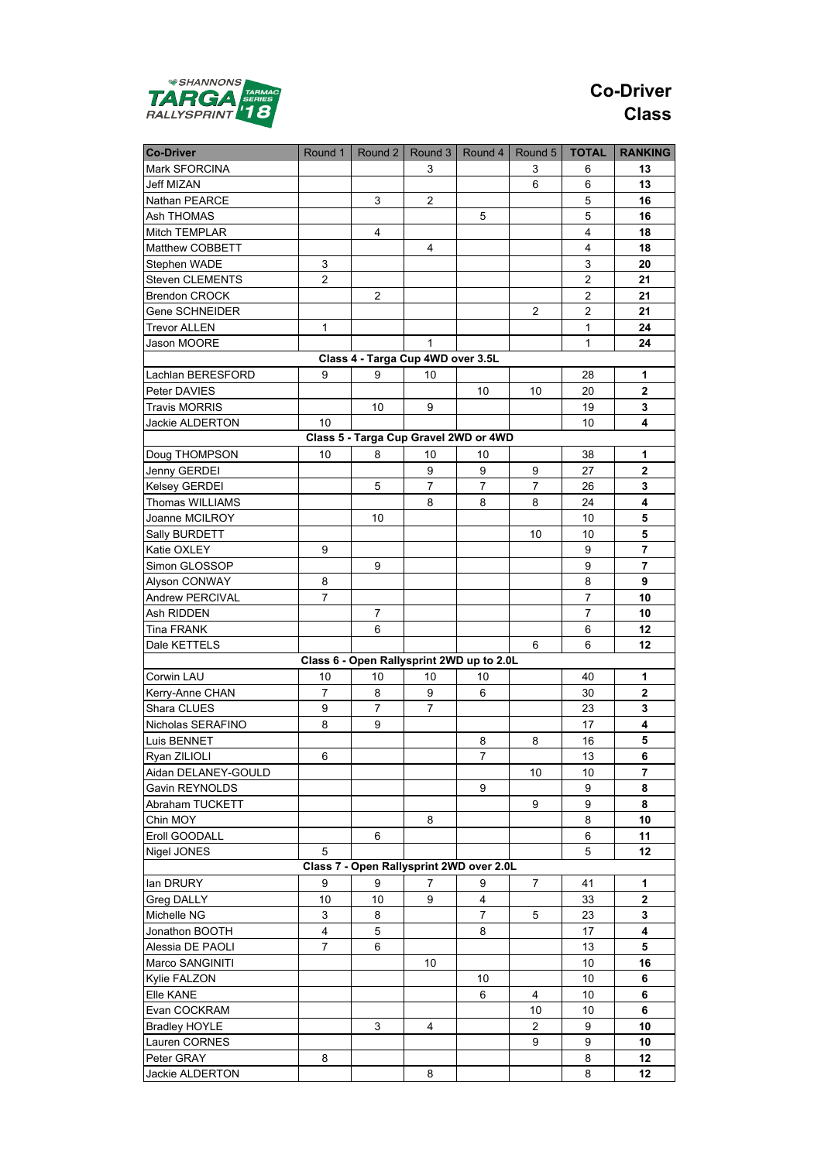

## **Co-Driver Class**

| <b>Co-Driver</b>     | Round 1        |                                   |                | Round 2   Round 3   Round 4               | Round 5        | <b>TOTAL</b>   | <b>RANKING</b> |
|----------------------|----------------|-----------------------------------|----------------|-------------------------------------------|----------------|----------------|----------------|
| Mark SFORCINA        |                |                                   | 3              |                                           | 3              | 6              | 13             |
| Jeff MIZAN           |                |                                   |                |                                           | 6              | 6              | 13             |
| Nathan PEARCE        |                | 3                                 | 2              |                                           |                | 5              | 16             |
| Ash THOMAS           |                |                                   |                | 5                                         |                | 5              | 16             |
| Mitch TEMPLAR        |                | 4                                 |                |                                           |                | 4              | 18             |
| Matthew COBBETT      |                |                                   | 4              |                                           |                | 4              | 18             |
| Stephen WADE         | 3              |                                   |                |                                           |                | 3              | 20             |
| Steven CLEMENTS      | $\overline{2}$ |                                   |                |                                           |                | 2              | 21             |
| <b>Brendon CROCK</b> |                | 2                                 |                |                                           |                | 2              | 21             |
| Gene SCHNEIDER       |                |                                   |                |                                           | 2              | $\overline{2}$ | 21             |
| <b>Trevor ALLEN</b>  | 1              |                                   |                |                                           |                | $\mathbf{1}$   | 24             |
| Jason MOORE          |                |                                   | 1              |                                           |                | $\mathbf{1}$   | 24             |
|                      |                | Class 4 - Targa Cup 4WD over 3.5L |                |                                           |                |                |                |
|                      |                |                                   |                |                                           |                |                |                |
| Lachlan BERESFORD    | 9              | 9                                 | 10             |                                           |                | 28             | 1              |
| Peter DAVIES         |                |                                   |                | 10                                        | 10             | 20             | $\mathbf{2}$   |
| <b>Travis MORRIS</b> |                | 10                                | 9              |                                           |                | 19             | 3              |
| Jackie ALDERTON      | 10             |                                   |                |                                           |                | 10             | 4              |
|                      |                |                                   |                | Class 5 - Targa Cup Gravel 2WD or 4WD     |                |                |                |
| Doug THOMPSON        | 10             | 8                                 | 10             | 10                                        |                | 38             | 1              |
| Jenny GERDEI         |                |                                   | 9              | 9                                         | 9              | 27             | 2              |
| <b>Kelsey GERDEI</b> |                | 5                                 | 7              | $\overline{7}$                            | 7              | 26             | 3              |
| Thomas WILLIAMS      |                |                                   | 8              | 8                                         | 8              | 24             | 4              |
| Joanne MCILROY       |                | 10                                |                |                                           |                | 10             | 5              |
| Sally BURDETT        |                |                                   |                |                                           | 10             | 10             | 5              |
| Katie OXLEY          | 9              |                                   |                |                                           |                | 9              | 7              |
| Simon GLOSSOP        |                | 9                                 |                |                                           |                | 9              | 7              |
| Alyson CONWAY        | 8              |                                   |                |                                           |                | 8              | 9              |
| Andrew PERCIVAL      | 7              |                                   |                |                                           |                | 7              | 10             |
| Ash RIDDEN           |                | $\overline{7}$                    |                |                                           |                | $\overline{7}$ | 10             |
| <b>Tina FRANK</b>    |                | 6                                 |                |                                           |                | 6              | 12             |
| Dale KETTELS         |                |                                   |                |                                           | 6              | 6              | 12             |
|                      |                |                                   |                | Class 6 - Open Rallysprint 2WD up to 2.0L |                |                |                |
| Corwin LAU           | 10             | 10                                | 10             | 10                                        |                | 40             | 1              |
| Kerry-Anne CHAN      | 7              | 8                                 | 9              | 6                                         |                | 30             | 2              |
| Shara CLUES          | 9              | $\overline{7}$                    | $\overline{7}$ |                                           |                | 23             | 3              |
| Nicholas SERAFINO    | 8              | 9                                 |                |                                           |                | 17             | 4              |
| Luis BENNET          |                |                                   |                | 8                                         | 8              | 16             | 5              |
| Ryan ZILIOLI         | 6              |                                   |                | $\overline{7}$                            |                | 13             | 6              |
| Aidan DELANEY-GOULD  |                |                                   |                |                                           | 10             | 10             | 7              |
| Gavin REYNOLDS       |                |                                   |                | 9                                         |                | 9              | 8              |
| Abraham TUCKETT      |                |                                   |                |                                           | 9              | 9              | 8              |
| Chin MOY             |                |                                   | 8              |                                           |                | 8              | 10             |
| Eroll GOODALL        |                | 6                                 |                |                                           |                | 6              | 11             |
| Nigel JONES          | 5              |                                   |                |                                           |                | 5              | 12             |
|                      |                |                                   |                | Class 7 - Open Rallysprint 2WD over 2.0L  |                |                |                |
| lan DRURY            | 9              | 9                                 | 7              | 9                                         | $\overline{7}$ | 41             | 1              |
| Greg DALLY           | 10             | 10                                | 9              | 4                                         |                | 33             | 2              |
| Michelle NG          | 3              | 8                                 |                | 7                                         | 5              | 23             | 3              |
| Jonathon BOOTH       | 4              | 5                                 |                | 8                                         |                | 17             | 4              |
| Alessia DE PAOLI     | 7              | 6                                 |                |                                           |                | 13             | 5              |
| Marco SANGINITI      |                |                                   | 10             |                                           |                | 10             | 16             |
| Kylie FALZON         |                |                                   |                | 10                                        |                | 10             | 6              |
| Elle KANE            |                |                                   |                |                                           |                | 10             |                |
|                      |                |                                   |                | 6                                         | 4              |                | 6              |
| Evan COCKRAM         |                |                                   |                |                                           | 10             | 10             | 6              |
| <b>Bradley HOYLE</b> |                | 3                                 | 4              |                                           | $\overline{2}$ | 9              | 10             |
| Lauren CORNES        |                |                                   |                |                                           | 9              | 9              | 10             |
| Peter GRAY           | 8              |                                   |                |                                           |                | 8              | 12             |
| Jackie ALDERTON      |                |                                   | 8              |                                           |                | 8              | 12             |